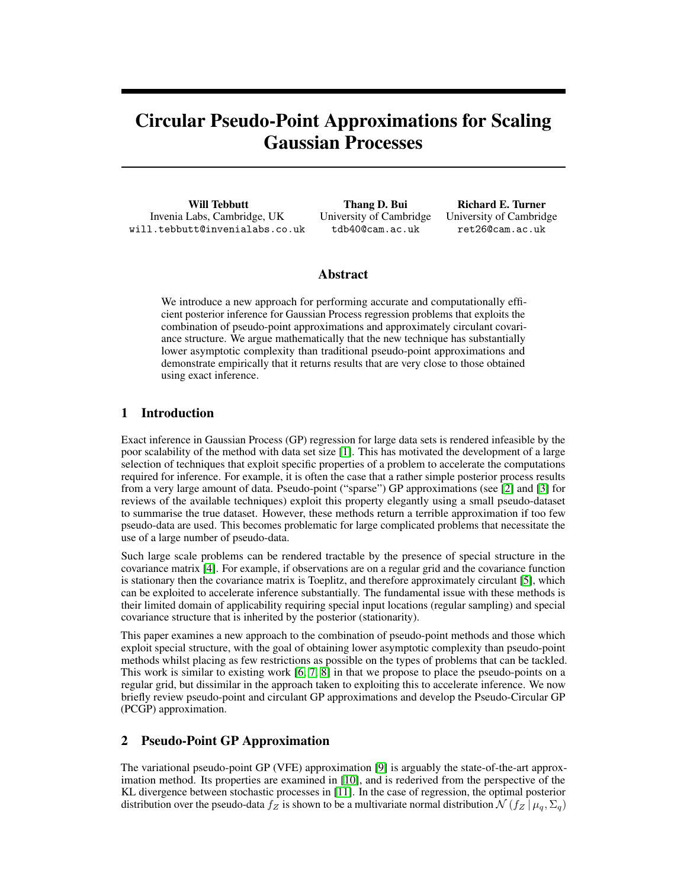# Circular Pseudo-Point Approximations for Scaling Gaussian Processes

Will Tebbutt Invenia Labs, Cambridge, UK will.tebbutt@invenialabs.co.uk

Thang D. Bui University of Cambridge tdb40@cam.ac.uk

Richard E. Turner University of Cambridge ret26@cam.ac.uk

## Abstract

We introduce a new approach for performing accurate and computationally efficient posterior inference for Gaussian Process regression problems that exploits the combination of pseudo-point approximations and approximately circulant covariance structure. We argue mathematically that the new technique has substantially lower asymptotic complexity than traditional pseudo-point approximations and demonstrate empirically that it returns results that are very close to those obtained using exact inference.

# 1 Introduction

Exact inference in Gaussian Process (GP) regression for large data sets is rendered infeasible by the poor scalability of the method with data set size [\[1\]](#page-4-0). This has motivated the development of a large selection of techniques that exploit specific properties of a problem to accelerate the computations required for inference. For example, it is often the case that a rather simple posterior process results from a very large amount of data. Pseudo-point ("sparse") GP approximations (see [\[2\]](#page-4-1) and [\[3\]](#page-4-2) for reviews of the available techniques) exploit this property elegantly using a small pseudo-dataset to summarise the true dataset. However, these methods return a terrible approximation if too few pseudo-data are used. This becomes problematic for large complicated problems that necessitate the use of a large number of pseudo-data.

Such large scale problems can be rendered tractable by the presence of special structure in the covariance matrix [\[4\]](#page-4-3). For example, if observations are on a regular grid and the covariance function is stationary then the covariance matrix is Toeplitz, and therefore approximately circulant [\[5\]](#page-4-4), which can be exploited to accelerate inference substantially. The fundamental issue with these methods is their limited domain of applicability requiring special input locations (regular sampling) and special covariance structure that is inherited by the posterior (stationarity).

This paper examines a new approach to the combination of pseudo-point methods and those which exploit special structure, with the goal of obtaining lower asymptotic complexity than pseudo-point methods whilst placing as few restrictions as possible on the types of problems that can be tackled. This work is similar to existing work [\[6,](#page-4-5) [7,](#page-4-6) [8\]](#page-4-7) in that we propose to place the pseudo-points on a regular grid, but dissimilar in the approach taken to exploiting this to accelerate inference. We now briefly review pseudo-point and circulant GP approximations and develop the Pseudo-Circular GP (PCGP) approximation.

# 2 Pseudo-Point GP Approximation

The variational pseudo-point GP (VFE) approximation [\[9\]](#page-4-8) is arguably the state-of-the-art approximation method. Its properties are examined in [\[10\]](#page-4-9), and is rederived from the perspective of the KL divergence between stochastic processes in [\[11\]](#page-4-10). In the case of regression, the optimal posterior distribution over the pseudo-data  $f_Z$  is shown to be a multivariate normal distribution  $\mathcal{N}(f_Z | \mu_q, \Sigma_q)$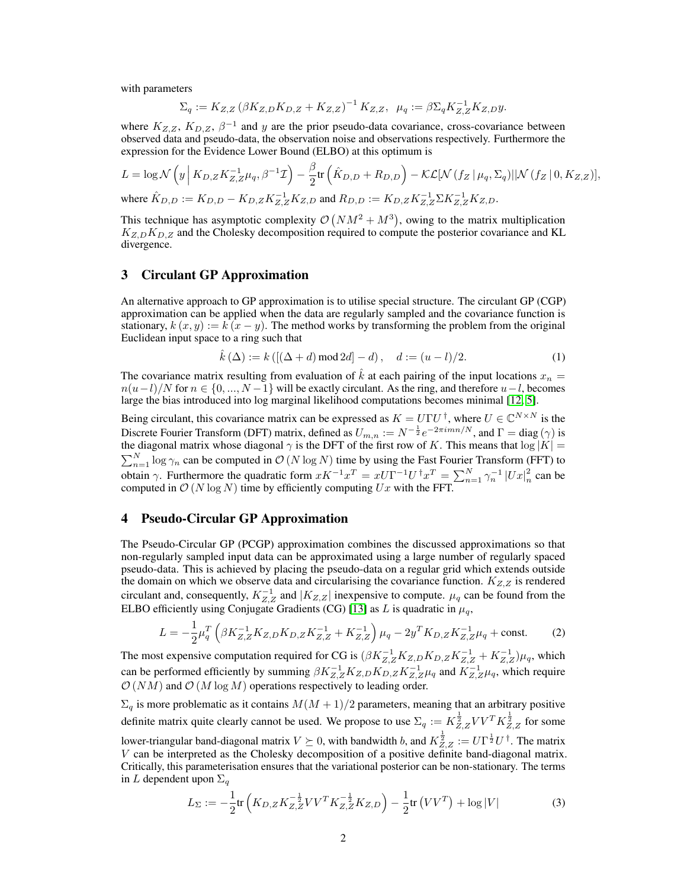with parameters

$$
\Sigma_q := K_{Z,Z} (\beta K_{Z,D} K_{D,Z} + K_{Z,Z})^{-1} K_{Z,Z}, \ \mu_q := \beta \Sigma_q K_{Z,Z}^{-1} K_{Z,D} y.
$$

where  $K_{Z,Z}$ ,  $K_{D,Z}$ ,  $\beta^{-1}$  and y are the prior pseudo-data covariance, cross-covariance between observed data and pseudo-data, the observation noise and observations respectively. Furthermore the expression for the Evidence Lower Bound (ELBO) at this optimum is

$$
L = \log \mathcal{N}\left(y \left| K_{D,Z} K_{Z,Z}^{-1} \mu_q, \beta^{-1} \mathcal{I} \right) - \frac{\beta}{2} \text{tr}\left(\hat{K}_{D,D} + R_{D,D}\right) - \mathcal{KL}[\mathcal{N}\left(f_Z \mid \mu_q, \Sigma_q\right) || \mathcal{N}\left(f_Z \mid 0, K_{Z,Z}\right)],
$$
  
where  $\hat{K}_{D,D} := K_{D,D} - K_{D,Z} K_{Z,Z}^{-1} K_{Z,D}$  and  $R_{D,D} := K_{D,Z} K_{Z,Z}^{-1} \Sigma K_{Z,Z}^{-1} K_{Z,D}.$ 

This technique has asymptotic complexity  $\mathcal{O}(NM^2 + M^3)$ , owing to the matrix multiplication  $K_{Z,D}K_{D,Z}$  and the Cholesky decomposition required to compute the posterior covariance and KL divergence.

#### 3 Circulant GP Approximation

An alternative approach to GP approximation is to utilise special structure. The circulant GP (CGP) approximation can be applied when the data are regularly sampled and the covariance function is stationary,  $k(x, y) := k(x - y)$ . The method works by transforming the problem from the original Euclidean input space to a ring such that

$$
\hat{k}(\Delta) := k\left( [(\Delta + d) \mod 2d] - d \right), \quad d := (u - l)/2. \tag{1}
$$

The covariance matrix resulting from evaluation of  $\hat{k}$  at each pairing of the input locations  $x_n =$  $n(u-l)/N$  for  $n \in \{0, ..., N-1\}$  will be exactly circulant. As the ring, and therefore  $u-l$ , becomes large the bias introduced into log marginal likelihood computations becomes minimal [\[12,](#page-4-11) [5\]](#page-4-4).

Being circulant, this covariance matrix can be expressed as  $K = U\Gamma U^{\dagger}$ , where  $U \in \mathbb{C}^{N \times N}$  is the Discrete Fourier Transform (DFT) matrix, defined as  $U_{m,n} := N^{-\frac{1}{2}}e^{-2\pi i mn/N}$ , and  $\Gamma =$  diag  $(\gamma)$  is the diagonal matrix whose diagonal  $\gamma$  is the DFT of the first row of K. This means that  $\log|K| =$  $\sum_{n=1}^{N} \log \gamma_n$  can be computed in  $\mathcal{O}(N \log N)$  time by using the Fast Fourier Transform (FFT) to obtain γ. Furthermore the quadratic form  $xK^{-1}x^T = xU\Gamma^{-1}U^{\dagger}x^T = \sum_{n=1}^{N} \gamma_n^{-1} |Ux|_n^2$  can be computed in  $\mathcal{O}(N \log N)$  time by efficiently computing  $Ux$  with the FFT.

#### 4 Pseudo-Circular GP Approximation

The Pseudo-Circular GP (PCGP) approximation combines the discussed approximations so that non-regularly sampled input data can be approximated using a large number of regularly spaced pseudo-data. This is achieved by placing the pseudo-data on a regular grid which extends outside the domain on which we observe data and circularising the covariance function.  $K_{Z,Z}$  is rendered circulant and, consequently,  $K_{Z,Z}^{-1}$  and  $|K_{Z,Z}|$  inexpensive to compute.  $\mu_q$  can be found from the ELBO efficiently using Conjugate Gradients (CG) [\[13\]](#page-4-12) as L is quadratic in  $\mu_q$ ,

$$
L = -\frac{1}{2}\mu_q^T \left( \beta K_{Z,Z}^{-1} K_{Z,D} K_{D,Z} K_{Z,Z}^{-1} + K_{Z,Z}^{-1} \right) \mu_q - 2y^T K_{D,Z} K_{Z,Z}^{-1} \mu_q + \text{const.}
$$
 (2)

The most expensive computation required for CG is  $(\beta K_{Z,Z}^{-1} K_{Z,D} K_{D,Z} K_{Z,Z}^{-1} + K_{Z,Z}^{-1}) \mu_q$ , which can be performed efficiently by summing  $\beta K_{Z,Z}^{-1} K_{Z,D} K_{D,Z} K_{Z,Z}^{-1} \mu_q$  and  $K_{Z,Z}^{-1} \mu_q$ , which require  $\mathcal{O}(NM)$  and  $\mathcal{O}(M \log M)$  operations respectively to leading order.

 $\Sigma_q$  is more problematic as it contains  $M(M + 1)/2$  parameters, meaning that an arbitrary positive definite matrix quite clearly cannot be used. We propose to use  $\Sigma_q := K_{Z,Z}^{\frac{1}{2}} V V^T K_{Z,Z}^{\frac{1}{2}}$  for some lower-triangular band-diagonal matrix  $V \succeq 0$ , with bandwidth b, and  $K_{Z,Z}^{\frac{1}{2}} := U \Gamma^{\frac{1}{2}} U^{\dagger}$ . The matrix V can be interpreted as the Cholesky decomposition of a positive definite band-diagonal matrix. Critically, this parameterisation ensures that the variational posterior can be non-stationary. The terms in L dependent upon  $\Sigma_q$ 

$$
L_{\Sigma} := -\frac{1}{2} \text{tr}\left(K_{D,Z} K_{Z,Z}^{-\frac{1}{2}} V V^T K_{Z,Z}^{-\frac{1}{2}} K_{Z,D}\right) - \frac{1}{2} \text{tr}\left(V V^T\right) + \log|V| \tag{3}
$$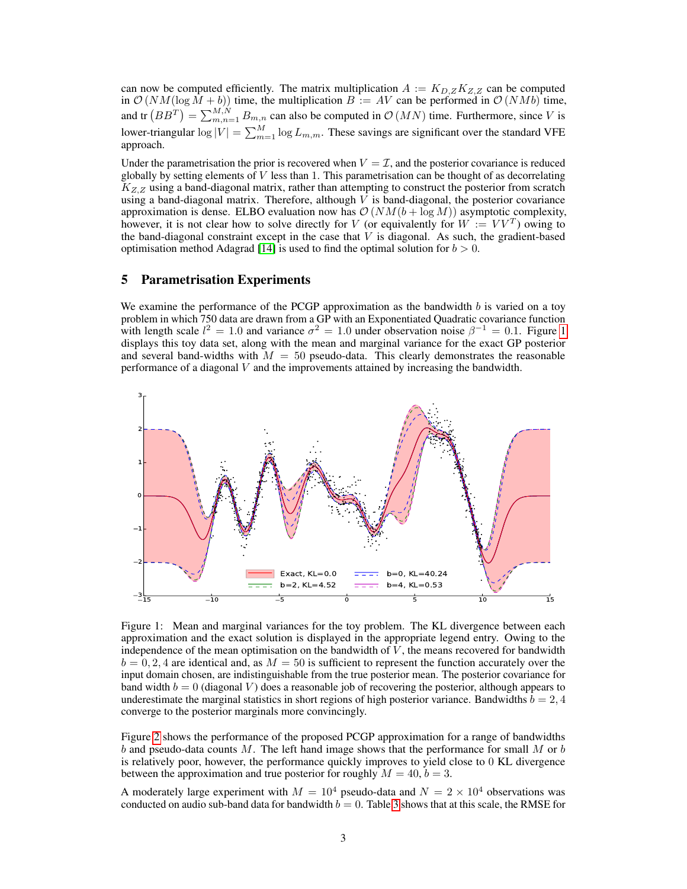can now be computed efficiently. The matrix multiplication  $A := K_{D,Z} K_{Z,Z}$  can be computed in  $\mathcal{O}(NM(\log M + b))$  time, the multiplication  $B := AV$  can be performed in  $\mathcal{O}(NMb)$  time, and tr  $(BB^T) = \sum_{m,n=1}^{M,N} B_{m,n}$  can also be computed in  $\mathcal{O}(MN)$  time. Furthermore, since V is lower-triangular  $\log|V| = \sum_{m=1}^{M} \log L_{m,m}$ . These savings are significant over the standard VFE approach.

Under the parametrisation the prior is recovered when  $V = \mathcal{I}$ , and the posterior covariance is reduced globally by setting elements of  $V$  less than 1. This parametrisation can be thought of as decorrelating  $K_{Z,Z}$  using a band-diagonal matrix, rather than attempting to construct the posterior from scratch using a band-diagonal matrix. Therefore, although  $V$  is band-diagonal, the posterior covariance approximation is dense. ELBO evaluation now has  $\mathcal{O}(NM(b + \log M))$  asymptotic complexity, however, it is not clear how to solve directly for V (or equivalently for  $W := V V^T$ ) owing to the band-diagonal constraint except in the case that  $V$  is diagonal. As such, the gradient-based optimisation method Adagrad [\[14\]](#page-4-13) is used to find the optimal solution for  $b > 0$ .

## 5 Parametrisation Experiments

We examine the performance of the PCGP approximation as the bandwidth  $b$  is varied on a toy problem in which 750 data are drawn from a GP with an Exponentiated Quadratic covariance function with length scale  $l^2 = 1.0$  $l^2 = 1.0$  $l^2 = 1.0$  and variance  $\sigma^2 = 1.0$  under observation noise  $\beta^{-1} = 0.1$ . Figure 1 displays this toy data set, along with the mean and marginal variance for the exact GP posterior and several band-widths with  $M = 50$  pseudo-data. This clearly demonstrates the reasonable performance of a diagonal V and the improvements attained by increasing the bandwidth.



<span id="page-2-0"></span>Figure 1: Mean and marginal variances for the toy problem. The KL divergence between each approximation and the exact solution is displayed in the appropriate legend entry. Owing to the independence of the mean optimisation on the bandwidth of  $V$ , the means recovered for bandwidth  $b = 0, 2, 4$  are identical and, as  $M = 50$  is sufficient to represent the function accurately over the input domain chosen, are indistinguishable from the true posterior mean. The posterior covariance for band width  $b = 0$  (diagonal V) does a reasonable job of recovering the posterior, although appears to underestimate the marginal statistics in short regions of high posterior variance. Bandwidths  $b = 2, 4$ converge to the posterior marginals more convincingly.

Figure [2](#page-3-0) shows the performance of the proposed PCGP approximation for a range of bandwidths b and pseudo-data counts M. The left hand image shows that the performance for small M or b is relatively poor, however, the performance quickly improves to yield close to 0 KL divergence between the approximation and true posterior for roughly  $M = 40, b = 3$ .

A moderately large experiment with  $M = 10^4$  pseudo-data and  $N = 2 \times 10^4$  observations was conducted on audio sub-band data for bandwidth  $b = 0$ . Table [3](#page-3-1) shows that at this scale, the RMSE for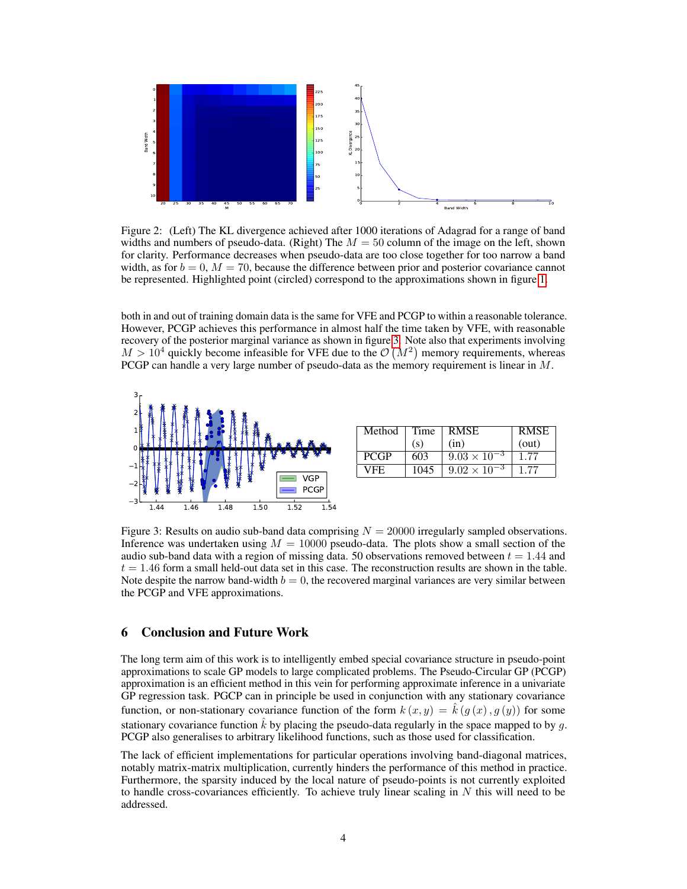

<span id="page-3-0"></span>Figure 2: (Left) The KL divergence achieved after 1000 iterations of Adagrad for a range of band widths and numbers of pseudo-data. (Right) The  $M = 50$  column of the image on the left, shown for clarity. Performance decreases when pseudo-data are too close together for too narrow a band width, as for  $b = 0$ ,  $M = 70$ , because the difference between prior and posterior covariance cannot be represented. Highlighted point (circled) correspond to the approximations shown in figure [1.](#page-2-0)

both in and out of training domain data is the same for VFE and PCGP to within a reasonable tolerance. However, PCGP achieves this performance in almost half the time taken by VFE, with reasonable recovery of the posterior marginal variance as shown in figure [3.](#page-3-1) Note also that experiments involving  $M > 10<sup>4</sup>$  quickly become infeasible for VFE due to the  $\mathcal{O}(M^2)$  memory requirements, whereas PCGP can handle a very large number of pseudo-data as the memory requirement is linear in M.



| Method      | Time | <b>RMSE</b>           | <b>RMSE</b> |
|-------------|------|-----------------------|-------------|
|             | (s)  | (in)                  | (out)       |
| <b>PCGP</b> | 603  | $9.03 \times 10^{-3}$ | 1.77        |
| VFE.        | 1045 | $9.02 \times 10^{-3}$ |             |

<span id="page-3-1"></span>Figure 3: Results on audio sub-band data comprising  $N = 20000$  irregularly sampled observations. Inference was undertaken using  $M = 10000$  pseudo-data. The plots show a small section of the audio sub-band data with a region of missing data. 50 observations removed between  $t = 1.44$  and  $t = 1.46$  form a small held-out data set in this case. The reconstruction results are shown in the table. Note despite the narrow band-width  $b = 0$ , the recovered marginal variances are very similar between the PCGP and VFE approximations.

#### 6 Conclusion and Future Work

The long term aim of this work is to intelligently embed special covariance structure in pseudo-point approximations to scale GP models to large complicated problems. The Pseudo-Circular GP (PCGP) approximation is an efficient method in this vein for performing approximate inference in a univariate GP regression task. PGCP can in principle be used in conjunction with any stationary covariance function, or non-stationary covariance function of the form  $k(x, y) = \hat{k}(g(x), g(y))$  for some stationary covariance function  $\hat{k}$  by placing the pseudo-data regularly in the space mapped to by q. PCGP also generalises to arbitrary likelihood functions, such as those used for classification.

The lack of efficient implementations for particular operations involving band-diagonal matrices, notably matrix-matrix multiplication, currently hinders the performance of this method in practice. Furthermore, the sparsity induced by the local nature of pseudo-points is not currently exploited to handle cross-covariances efficiently. To achieve truly linear scaling in  $N$  this will need to be addressed.